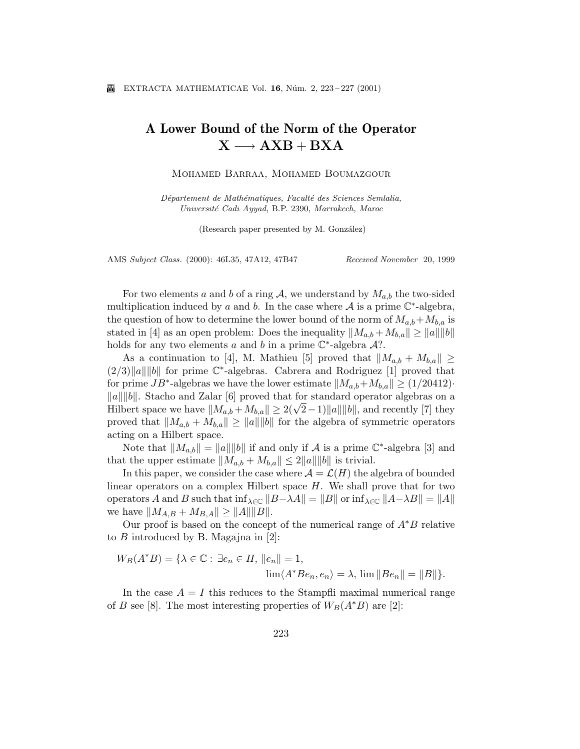## A Lower Bound of the Norm of the Operator  $X \longrightarrow AXB + BXA$

Mohamed Barraa, Mohamed Boumazgour

Département de Mathématiques, Faculté des Sciences Semlalia, Université Cadi Ayyad, B.P. 2390, Marrakech, Maroc

(Research paper presented by M. González)

AMS Subject Class. (2000): 46L35, 47A12, 47B47 Received November 20, 1999

For two elements a and b of a ring A, we understand by  $M_{a,b}$  the two-sided multiplication induced by a and b. In the case where  $A$  is a prime  $\mathbb{C}^*$ -algebra, the question of how to determine the lower bound of the norm of  $M_{a,b}+M_{b,a}$  is stated in [4] as an open problem: Does the inequality  $||M_{a,b} + M_{b,a}|| \ge ||a|| ||b||$ holds for any two elements a and b in a prime  $\mathbb{C}^*$ -algebra A?.

As a continuation to [4], M. Mathieu [5] proved that  $||M_{a,b} + M_{b,a}|| \geq$  $(2/3)||a|| ||b||$  for prime  $\mathbb{C}^*$ -algebras. Cabrera and Rodriguez [1] proved that for prime  $JB^*$ -algebras we have the lower estimate  $||M_{a,b}+M_{b,a}|| \ge (1/20412)$ .  $\|a\| \|b\|$ . Stacho and Zalar [6] proved that for standard operator algebras on a  $||a|| ||o||$ . Stacho and Zalar [o] proved that for standard operator algebras on a<br>Hilbert space we have  $||M_{a,b} + M_{b,a}|| \geq 2(\sqrt{2}-1)||a|| ||b||$ , and recently [7] they proved that  $||M_{a,b} + M_{b,a}|| \ge ||a|| ||b||$  for the algebra of symmetric operators acting on a Hilbert space.

Note that  $||M_{a,b}|| = ||a|| ||b||$  if and only if A is a prime  $\mathbb{C}^*$ -algebra [3] and that the upper estimate  $||M_{a,b} + M_{b,a}|| \leq 2||a|| ||b||$  is trivial.

In this paper, we consider the case where  $\mathcal{A} = \mathcal{L}(H)$  the algebra of bounded linear operators on a complex Hilbert space  $H$ . We shall prove that for two operators A and B such that  $\inf_{\lambda \in \mathbb{C}} ||B-\lambda A|| = ||B||$  or  $\inf_{\lambda \in \mathbb{C}} ||A-\lambda B|| = ||A||$ we have  $||M_{A,B} + M_{B,A}|| \ge ||A|| ||B||.$ 

Our proof is based on the concept of the numerical range of  $A^*B$  relative to  $B$  introduced by B. Magajna in [2]:

$$
W_B(A^*B) = \{ \lambda \in \mathbb{C} : \exists e_n \in H, ||e_n|| = 1, \lim \langle A^*Be_n, e_n \rangle = \lambda, \lim ||Be_n|| = ||B|| \}.
$$

In the case  $A = I$  this reduces to the Stampfli maximal numerical range of B see [8]. The most interesting properties of  $W_B(A^*B)$  are [2]: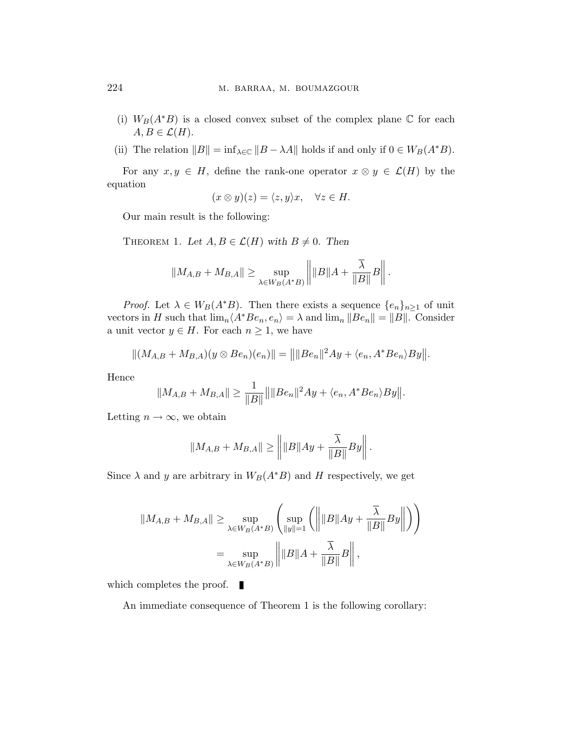- (i)  $W_B(A^*B)$  is a closed convex subset of the complex plane  $\mathbb C$  for each  $A, B \in \mathcal{L}(H)$ .
- (ii) The relation  $||B|| = \inf_{\lambda \in \mathbb{C}} ||B \lambda A||$  holds if and only if  $0 \in W_B(A^*B)$ .

For any  $x, y \in H$ , define the rank-one operator  $x \otimes y \in \mathcal{L}(H)$  by the equation

$$
(x \otimes y)(z) = \langle z, y \rangle x, \quad \forall z \in H.
$$

Our main result is the following:

THEOREM 1. Let  $A, B \in \mathcal{L}(H)$  with  $B \neq 0$ . Then

$$
||M_{A,B} + M_{B,A}|| \ge \sup_{\lambda \in W_B(A^*B)} \left\| ||B||A + \frac{\overline{\lambda}}{||B||}B \right\|.
$$

*Proof.* Let  $\lambda \in W_B(A^*B)$ . Then there exists a sequence  $\{e_n\}_{n\geq 1}$  of unit vectors in H such that  $\lim_{n} \langle A^*Be_n, e_n \rangle = \lambda$  and  $\lim_{n} ||Be_n|| = ||B||$ . Consider a unit vector  $y \in H$ . For each  $n \geq 1$ , we have

$$
||(M_{A,B} + M_{B,A})(y \otimes Be_n)(e_n)|| = ||||Be_n||^2Ay + \langle e_n, A^*Be_n \rangle By||.
$$

Hence

$$
||M_{A,B}+M_{B,A}|| \geq \frac{1}{||B||} ||||Be_n||^2Ay + \langle e_n, A^*Be_n \rangle By||.
$$

Letting  $n \to \infty$ , we obtain

$$
||M_{A,B} + M_{B,A}|| \ge ||||B||Ay + \frac{\overline{\lambda}}{||B||}By||.
$$

Since  $\lambda$  and y are arbitrary in  $W_B(A^*B)$  and H respectively, we get

$$
||M_{A,B} + M_{B,A}|| \ge \sup_{\lambda \in W_B(A^*B)} \left( \sup_{||y||=1} \left( \left| ||B||Ay + \frac{\overline{\lambda}}{||B||} By \right| \right) \right)
$$
  
= 
$$
\sup_{\lambda \in W_B(A^*B)} \left| ||B||A + \frac{\overline{\lambda}}{||B||} B \right|,
$$

which completes the proof.  $\blacksquare$ 

An immediate consequence of Theorem 1 is the following corollary: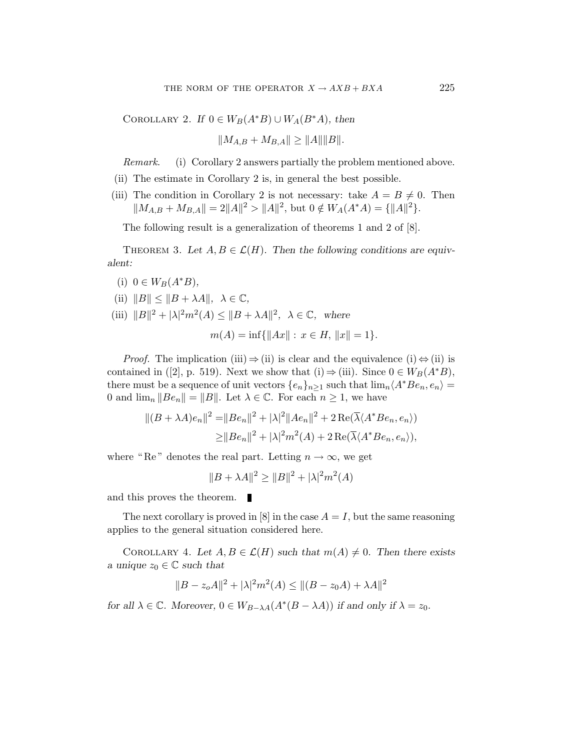COROLLARY 2. If  $0 \in W_B(A^*B) \cup W_A(B^*A)$ , then

$$
||M_{A,B} + M_{B,A}|| \ge ||A|| ||B||.
$$

Remark. (i) Corollary 2 answers partially the problem mentioned above.

- (ii) The estimate in Corollary 2 is, in general the best possible.
- (iii) The condition in Corollary 2 is not necessary: take  $A = B \neq 0$ . Then  $||M_{A,B} + M_{B,A}|| = 2||A||^2 > ||A||^2$ , but  $0 \notin W_A(A^*A) = {||A||^2}.$

The following result is a generalization of theorems 1 and 2 of [8].

THEOREM 3. Let  $A, B \in \mathcal{L}(H)$ . Then the following conditions are equivalent:

- (i)  $0 \in W_B(A^*B)$ ,
- (ii)  $||B|| \leq ||B + \lambda A||, \ \lambda \in \mathbb{C},$
- (iii)  $||B||^2 + |\lambda|^2 m^2(A) \le ||B + \lambda A||^2$ ,  $\lambda \in \mathbb{C}$ , where

$$
m(A) = \inf \{ ||Ax|| : x \in H, ||x|| = 1 \}.
$$

*Proof.* The implication (iii)  $\Rightarrow$  (ii) is clear and the equivalence (i)  $\Leftrightarrow$  (ii) is contained in ([2], p. 519). Next we show that (i)  $\Rightarrow$  (iii). Since  $0 \in W_B(A^*B)$ , there must be a sequence of unit vectors  $\{e_n\}_{n>1}$  such that  $\lim_{n\Delta A^*} Be_n, e_n\rangle =$ 0 and  $\lim_{n} ||Be_n|| = ||B||$ . Let  $\lambda \in \mathbb{C}$ . For each  $n \geq 1$ , we have

$$
||(B + \lambda A)e_n||^2 = ||Be_n||^2 + |\lambda|^2 ||Ae_n||^2 + 2 \operatorname{Re}(\overline{\lambda} \langle A^* Be_n, e_n \rangle)
$$
  
\n
$$
\ge ||Be_n||^2 + |\lambda|^2 m^2(A) + 2 \operatorname{Re}(\overline{\lambda} \langle A^* Be_n, e_n \rangle),
$$

where "Re" denotes the real part. Letting  $n \to \infty$ , we get

$$
||B + \lambda A||^2 \ge ||B||^2 + |\lambda|^2 m^2(A)
$$

and this proves the theorem.

The next corollary is proved in [8] in the case  $A = I$ , but the same reasoning applies to the general situation considered here.

COROLLARY 4. Let  $A, B \in \mathcal{L}(H)$  such that  $m(A) \neq 0$ . Then there exists a unique  $z_0 \in \mathbb{C}$  such that

$$
||B - z_0A||^2 + |\lambda|^2 m^2(A) \le ||(B - z_0A) + \lambda A||^2
$$

for all  $\lambda \in \mathbb{C}$ . Moreover,  $0 \in W_{B-\lambda A}(A^*(B - \lambda A))$  if and only if  $\lambda = z_0$ .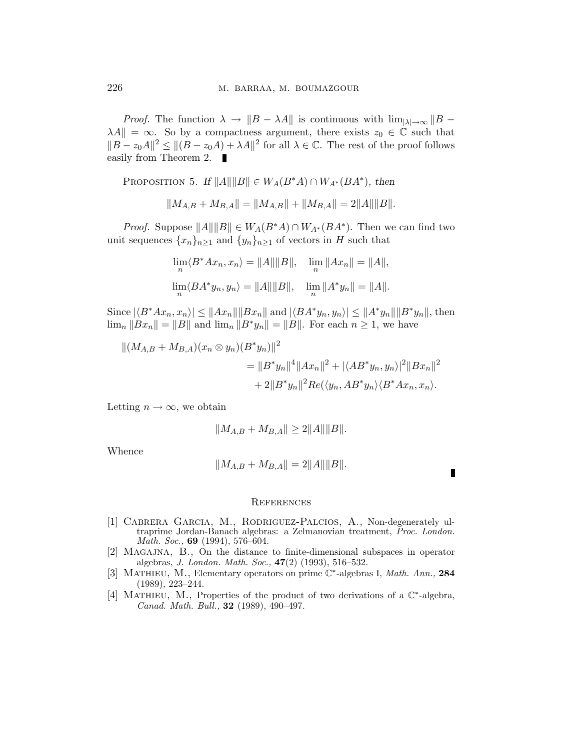*Proof.* The function  $\lambda \to \|B - \lambda A\|$  is continuous with  $\lim_{|\lambda| \to \infty} \|B - A\|$  $\lambda A \parallel = \infty$ . So by a compactness argument, there exists  $z_0 \in \mathbb{C}$  such that  $||B - z_0A||^2 \le ||(B - z_0A) + \lambda A||^2$  for all  $\lambda \in \mathbb{C}$ . The rest of the proof follows easily from Theorem 2. ■

PROPOSITION 5. If  $||A|| ||B|| \in W_A(B^*A) \cap W_{A^*}(BA^*)$ , then

$$
||M_{A,B} + M_{B,A}|| = ||M_{A,B}|| + ||M_{B,A}|| = 2||A|| ||B||.
$$

*Proof.* Suppose  $||A|| ||B|| \in W_A(B^*A) \cap W_{A^*}(BA^*)$ . Then we can find two unit sequences  ${x_n}_{n>1}$  and  ${y_n}_{n>1}$  of vectors in H such that

$$
\lim_{n} \langle B^* A x_n, x_n \rangle = ||A|| ||B||, \quad \lim_{n} ||A x_n|| = ||A||,
$$
  

$$
\lim_{n} \langle B A^* y_n, y_n \rangle = ||A|| ||B||, \quad \lim_{n} ||A^* y_n|| = ||A||.
$$

Since  $|\langle B^*Ax_n, x_n\rangle| \leq ||Ax_n|| ||Bx_n||$  and  $|\langle BA^*y_n, y_n\rangle| \leq ||A^*y_n|| ||B^*y_n||$ , then  $\lim_{n} \|Bx_{n}\| = \|B\|$  and  $\lim_{n} \|B^*y_{n}\| = \|B\|$ . For each  $n \geq 1$ , we have

$$
||(M_{A,B} + M_{B,A})(x_n \otimes y_n)(B^*y_n)||^2
$$
  
= 
$$
||B^*y_n||^4 ||Ax_n||^2 + |\langle AB^*y_n, y_n \rangle|^2 ||Bx_n||^2
$$
  
+ 
$$
2||B^*y_n||^2 Re(\langle y_n, AB^*y_n \rangle \langle B^*Ax_n, x_n \rangle).
$$

Letting  $n \to \infty$ , we obtain

$$
||M_{A,B} + M_{B,A}|| \ge 2||A|| ||B||.
$$

Whence

$$
||M_{A,B} + M_{B,A}|| = 2||A|| ||B||.
$$

## **REFERENCES**

- [1] Cabrera Garcia, M., Rodriguez-Palcios, A., Non-degenerately ultraprime Jordan-Banach algebras: a Zelmanovian treatment, Proc. London. Math. Soc., **69** (1994), 576–604.
- [2] Magajna, B., On the distance to finite-dimensional subspaces in operator algebras, J. London. Math. Soc., 47(2) (1993), 516–532.
- [3] MATHIEU, M., Elementary operators on prime  $\mathbb{C}^*$ -algebras I, Math. Ann., 284 (1989), 223–244.
- [4] MATHIEU, M., Properties of the product of two derivations of a  $\mathbb{C}^*$ -algebra, Canad. Math. Bull., 32 (1989), 490–497.